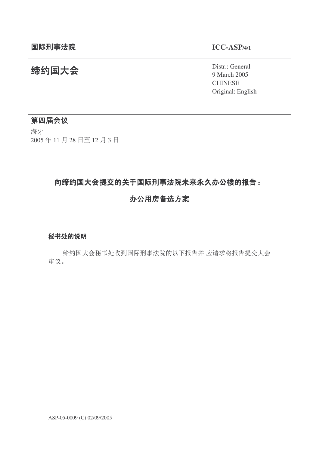# 统约国大会<br>2005年 0.14 and 2005

9 March 2005 **CHINESE** Original: English

# 第四届会议

海牙 2005年11月28日至12月3日

# 向缔约国大会提交的关于国际刑事法院未来永久办公楼的报告:

# 办公用房备选方案

#### 秘书处的说明

缔约国大会秘书处收到国际刑事法院的以下报告并 应请求将报告提交大会 审议。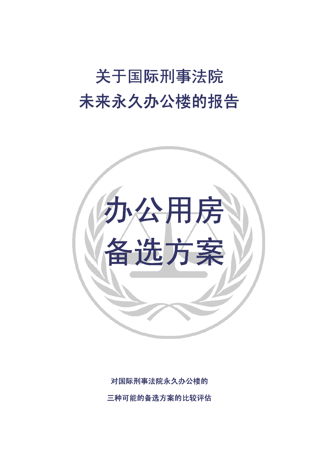# 关于国际刑事法院 未来永久办公楼的报告



对国际刑事法院永久办公楼的 三种可能的备选方案的比较评估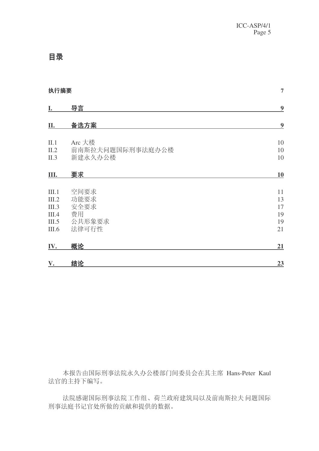# 目录

| 执行摘要                                               |                                               | $\overline{7}$                   |
|----------------------------------------------------|-----------------------------------------------|----------------------------------|
| <b>I.</b>                                          | 导言                                            | $\boldsymbol{9}$                 |
| П.                                                 | 备选方案                                          | $\overline{9}$                   |
| II.1<br>II.2<br>II.3                               | Arc 大楼<br>前南斯拉夫问题国际刑事法庭办公楼<br>新建永久办公楼         | 10<br>10<br>10                   |
| Ш.                                                 | 要求                                            | <u>10</u>                        |
| III.1<br>III.2<br>III.3<br>III.4<br>III.5<br>III.6 | 空间要求<br>功能要求<br>安全要求<br>费用<br>公共形象要求<br>法律可行性 | 11<br>13<br>17<br>19<br>19<br>21 |
| IV.                                                | 概论                                            | 21                               |
| V.                                                 | 结论                                            | 23                               |

本报告由国际刑事法院永久办公楼部门间委员会在其主席 Hans-Peter Kaul 法官的主持下编写。

法院感谢国际刑事法院工作组、荷兰政府建筑局以及前南斯拉夫问题国际 刑事法庭书记官处所做的贡献和提供的数据。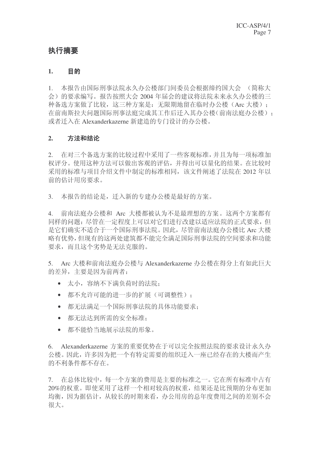# 执行摘要

#### 1. 目的

1. 本报告由国际刑事法院永久办公楼部门间委员会根据缔约国大会 (简称大 会)的要求编写。报告按照大会2004年届会的建议将法院未来永久办公楼的三 种备选方案做了比较,这三种方案是:无限期地留在临时办公楼(Arc 大楼); 在前南斯拉夫问题国际刑事法庭完成其工作后迁入其办公楼(前南法庭办公楼); 或者迁入在 Alexanderkazerne 新建造的专门设计的办公楼。

#### 2. 方法和结论

2. 在对三个备选方案的比较过程中采用了一些客观标准,并且为每一项标准加 权评分。使用这种方法可以做出客观的评估,并得出可以量化的结果。在比较时 采用的标准与项目介绍文件中制定的标准相同,该文件阐述了法院在 2012 年以 前的估计用房要求。

3. 本报告的结论是, 迁入新的专建办公楼是最好的方案。

4. 前南法庭办公楼和 Arc 大楼都被认为不是最理想的方案。这两个方案都有 同样的问题: 尽管在一定程度上可以对它们讲行改建以适应法院的正式要求, 但 是它们确实不适合于一个国际刑事法院。因此,尽管前南法庭办公楼比 Arc 大楼 略有优势, 但现有的这两处建筑都不能完全满足国际刑事法院的空间要求和功能 要求,而且这个劣势是无法克服的。

5. Arc 大楼和前南法庭办公楼与 Alexanderkazerne 办公楼在得分上有如此巨大 的差异, 主要是因为前两者:

- 太小, 容纳不下满负荷时的法院:
- 都不允许可能的进一步的扩展(可调整性):
- 都无法满足一个国际刑事法院的具体功能要求:
- 都无法达到所需的安全标准;
- 都不能恰当地展示法院的形象。

6. Alexanderkazerne 方案的重要优势在于可以完全按照法院的要求设计永久办 公楼。因此, 许多因为把一个有特定需要的组织迁入一座已经存在的大楼而产生 的不利条件都不存在。

7. 在总体比较中,每一个方案的费用是主要的标准之一。它在所有标准中占有 20%的权重。即使采用了这样一个相对较高的权重,结果还是比预期的分布更加 均衡, 因为据估计, 从较长的时期来看, 办公用房的总年度费用之间的差别不会 很大。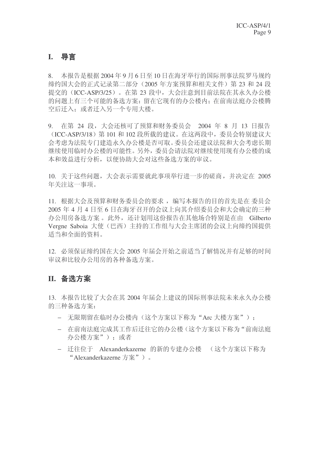### **I.** ᇐ㿔

 $8.$  本报告是根据 2004 年 9 月 6 日至 10 日在海牙举行的国际刑事法院罗马规约 缔约国大会的正式记录第二部分 (2005 年方案预算和相关文件) 第 23 和 24 段 提交的 (ICC-ASP/3/25)。在第 23 段中, 大会注意到目前法院在其永久办公楼 的问题上有三个可能的备选方案:留在它现有的办公楼内;在前南法庭办公楼腾 空后迁入: 或者迁入另一个专用大楼。

9. 在第 24 段, 大会还核可了预算和财务委员会 2004 年 8 月 13 日报告 (ICC-ASP/3/18) 第101 和102 段所载的建议。在这两段中, 委员会特别建议大 会考虑为法院专门建造永久办公楼是否可取。委员会还建议法院和大会考虑长期 继续使用临时办公楼的可能性。另外,委员会请法院对继续使用现有办公楼的成 本和效益进行分析, 以便协助大会对这些备选方案的审议。

10. 关于这些问题, 大会表示需要就此事项举行进一步的磋商, 并决定在 2005 年关注这一事项。

11. 根据大会及预算和财务委员会的要求, 编写本报告的目的首先是在委员会 2005 年 4 月 4 日至 6 日在海牙召开的会议上向其介绍委员会和大会确定的三种 办公用房备选方案。 此外,还计划用这份报告在其他场合特别是在由 Gilberto Vergne Saboia 大使(巴西)主持的工作组与大会主席团的会议上向缔约国提供 适当和全面的资料。

12. 必须保证缔约国在大会 2005 年届会开始之前适当了解情况并有足够的时间 审议和比较办公用房的各种备选方案。

#### **II.** 备选方案

13. 本报告比较了大会在其 2004 年届会上建议的国际刑事法院未来永久办公楼 的三种备选方案:

- − 无限期留在临时办公楼内(这个方案以下称为"Arc 大楼方案");
- − 在前南法庭完成其工作后迁往它的办公楼(这个方案以下称为"前南法庭 办公楼方案"); 或者
- − 迁往位于 Alexanderkazerne 的新的专建办公楼 (这个方案以下称为 "Alexanderkazerne 方案")。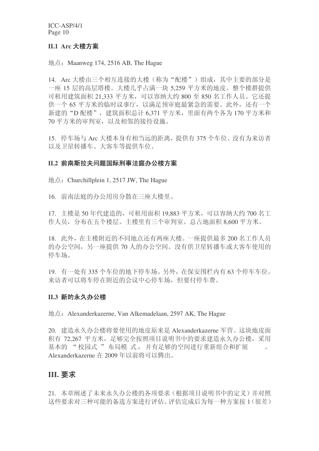#### **II.1** Arc 大楼方案

地点: Maanweg 174, 2516 AB, The Hague

14. Arc 大楼由三个相互连接的大楼(称为"配楼")组成, 其中主要的部分是 一座 15 层的高层塔楼。大楼几乎占满一块 5.259 平方米的地皮。整个楼群提供 可租用建筑面积 21,333 平方米, 可以容纳大约 800 至 850 名工作人员。它还提 供一个 65 平方米的临时议事厅, 以满足预审庭最紧急的需要。此外, 还有一个 新建的"D 配楼", 建筑面积总计 6.371 平方米, 里面有两个各为 170 平方米和 70 平方米的审判室, 以及相邻的接待设施。

15. 停车场与 Arc 大楼本身有相当远的距离, 提供有 375 个车位。没有为来访者 以及卫星转播车、大客车等提供车位。

#### II.2 前南斯拉夫问题国际刑事法庭办公楼方案

地点: Churchillplein 1, 2517 JW, The Hague

16. 前南法庭的办公用房分散在三座大楼里。

17. 主楼是 50 年代建造的, 可租用面积 19,883 平方米, 可以容纳大约 700 名工 作人员, 分布在五个楼层。主楼里有三个审判室。总占地面积 8,600 平方米。

18. 此外, 在主楼附近的不同地点还有两座大楼。一座提供最多 200 名工作人员 的办公空间,另一座提供70 人的办公空间。没有供卫星转播车或大客车使用的 停车场。

19. 有一处有335 个车位的地下停车场。另外, 在保安围栏内有63 个停车车位。 来访者可以将车停在附近的会议中心停车场, 但要付停车费。

#### **II.3 新的永久办公楼**

地点: Alexanderkazerne, Van Alkemadelaan, 2597 AK, The Hague

20. 建造永久办公楼将要使用的地皮原来是 Alexanderkazerne 军营。这块地皮面 积有 72.267 平方米, 足够完全按照项目说明书中的要求建造永久办公楼, 采用 基本的 "校园式"布局模式,并有足够的空间讲行重新组合和扩展。 Alexanderkazerne 在 2009 年以前将可以腾出。

#### **III.** 㽕∖

21. 本章阐述了未来永久办公楼的各项要求(根据项目说明书中的定义)并对照 这些要求对三种可能的备选方案讲行评估。评估完成后为每一种方案按1(很差)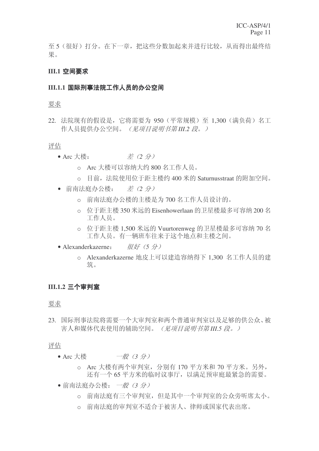至 5 (很好) 打分。在下一章, 把这些分数加起来并讲行比较, 从而得出最终结 果。

#### **III.1 空间要求**

#### **III.1.1 国际刑事法院工作人员的办公空间**

要求

22. 法院现有的假设是, 它将需要为 950 (平常规模) 至 1,300 (满负荷) 名工 作人员提供办公空间。(见项目说明书第III.2 段。)

#### 评估

- Arc 大楼:  $\neq$  (2 分)
	- o Arc 大楼可以容纳大约 800 名工作人员。
	- 目前, 法院使用位于距主楼约 400 米的 Saturnusstraat 的附加空间。
- 前南法庭办公楼: *差 (2 分)* 
	- o 前南法庭办公楼的主楼是为700 名工作人员设计的。
	- 位于距主楼 350 米远的 Eisenhowerlaan 的卫星楼最多可容纳 200 名 工作人员。
	- o 位于距主楼 1,500 米远的 Vuurtorenweg 的卫星楼最多可容纳 70 名 工作人员。有一辆班车往来干这个地点和主楼之间。
- Alexanderkazerne: 很好(5分)
	- o Alexanderkazerne 地皮上可以建造容纳得下 1,300 名工作人员的建 筑。

#### **III.1.2 三个审判室**

要求

23. 国际刑事法院将需要一个大审判室和两个普通审判室以及足够的供公众、被 害人和媒体代表使用的辅助空间。(见项目说明书第III.5 段。)

- Arc ὐ ϔ㠀˄*3* ߚ˅
	- o Arc 大楼有两个审判室, 分别有 170 平方米和 70 平方米。另外, 还有一个65平方米的临时议事厅,以满足预审庭最紧急的需要。
- 前南法庭办公楼: 一般 (3分)
	- o 前南法庭有三个审判室, 但是其中一个审判室的公众旁听席太小。
	- o 前南法庭的审判室不适合于被害人、律师或国家代表出席。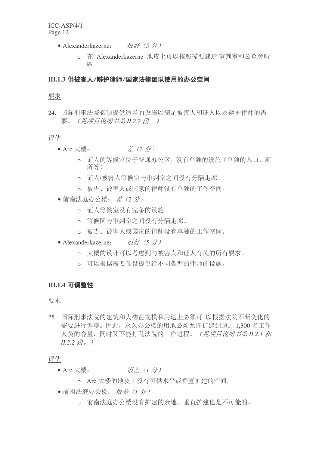- Alexanderkazerne: 很好(5分)
	- o 在 Alexanderkazerne 地皮上可以按照需要建造 审判室和公众旁听 席。

#### III.1.3 供被害人/辩护律师/国家法律团队使用的办公空间

#### 要求

24. 国际刑事法院必须提供适当的设施以满足被害人和证人以及辩护律师的需 要。(见项目说明书第II.2.2 段。)

#### 评估

- Arc 大楼:  $\cancel{\tilde{\varepsilon}}$  (2 分)
	- o 证人的等候室位于普通办公区, 没有单独的设施(单独的入口、厕 所等)。
	- o 证人/被害人等候室与审判室之间没有分隔走廊。
	- o 被告、被害人或国家的律师没有单独的工作空间。
- 前南法庭办公楼: 差 (2分)
	- o 证人等候室没有完备的设施。
	- o 等候区与审判室之间没有分隔走廊。
	- o 被告、被害人或国家的律师没有单独的工作空间。
- Alexanderkazerne: 很好(5分)
	- o 大楼的设计可以考虑到与被害人和证人有关的所有要求。
	- o 可以根据需要预设提供给不同类型的律师的设施。

#### **III.1.4** 可调整性

#### 要求

25. 国际刑事法院的建筑和大楼在规模和用途上必须可 以根据法院不断变化的 需要讲行调整。因此, 永久办公楼的用地必须允许扩建到超过 1,300 名丁作 人员的容量,同时又不能打乱法院的工作进程。(见项目说明书第II.2.1 和  $II.2.2 \&$ 

- Arc ὐ˖ ᕜᏂ˄*1* ߚ˅
	- o Arc 大楼的地皮上没有可供水平或垂直扩建的空间。
- 前南法庭办公楼: 很差 (1分)
	- o 前南法庭办公楼没有扩建的余地。垂直扩建也是不可能的。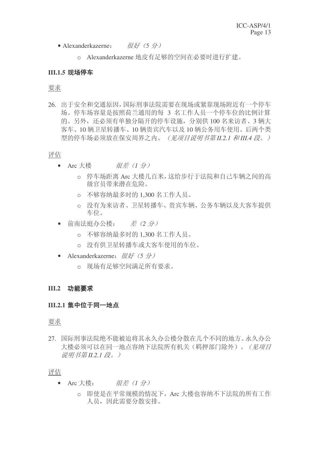- Alexanderkazerne: 很好(5分)
	- o Alexanderkazerne 地皮有足够的空间在必要时进行扩建。

#### **III.1.5 现场停车**

要求

26. 出于安全和交通原因,国际刑事法院需要在现场或紧靠现场附近有一个停车 场。停车场容量是按照荷兰通用的每 3 名工作人员一个停车位的比例计算 的。另外,还必须有单独分隔开的停车设施,分别供100 名来访者、3 辆大 客车、10 辆卫星转播车、10 辆贵宾汽车以及 10 辆公务用车使用。后两个类 型的停车场必须放在保安周界之内。(见项目说明书第II.2.1 和III.4 段。)

#### 评估

- Arc 大楼 很差 (1 分)
	- o 停车场距离 Arc 大楼几百米, 这给步行于法院和自己车辆之间的高 级官员带来潜在危险。
	- o 不够容纳最多时的 1.300 名工作人员。
	- 没有为来访者、卫星转播车、贵宾车辆、公务车辆以及大客车提供 车位。
- 前南法庭办公楼: *差 (2 分)* 
	- o 不够容纳最多时的 1,300 名工作人员。
	- o 没有供卫星转播车或大客车使用的车位。
- Alexanderkazerne: 很好 (5分)
	- o 现场有足够空间满足所有要求。

#### **III.2 功能要求**

#### **III.2.1 集中位于同一地点**

#### 要求

27. 国际刑事法院绝不能被迫将其永久办公楼分散在几个不同的地方。永久办公 大楼必须可以在同一地点容纳下法院所有机关(羁押部门除外)。*(见项目* 说明书第 II.2.1 段。)

- Arc 大楼: **很差 (1分)** 
	- o 即使是在平常规模的情况下, Arc 大楼也容纳不下法院的所有工作 人员, 因此需要分散安排。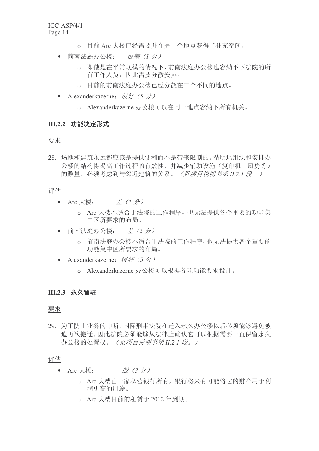- o 目前 Arc 大楼已经需要并在另一个地点获得了补充空间。
- 前南法庭办公楼: 很差 (1分)
	- 即使是在平常规模的情况下, 前南法庭办公楼也容纳不下法院的所 有工作人员, 因此需要分散安排。
	- o 目前的前南法庭办公楼已经分散在三个不同的地点。
- Alexanderkazerne: 很好 (5 分)
	- o Alexanderkazerne 办公楼可以在同一地点容纳下所有机关。

#### **III.2.2 功能决定形式**

#### 要求

28. 场地和建筑永远都应该是提供便利而不是带来限制的。精明地组织和安排办 公楼的结构将提高工作过程的有效性,并减少辅助设施(复印机、厨房等) 的数量。必须考虑到与邻近建筑的关系。(见项目说明书第112.1 段。)

#### 评估

- Arc 大楼:  ${\cal \dot{E}}$  (2 分)
	- o Arc 大楼不适合于法院的工作程序, 也无法提供各个重要的功能集 中区所要求的布局。
- 前南法庭办公楼: *差 (2 分)* 
	- 前南法庭办公楼不适合于法院的工作程序,也无法提供各个重要的 功能集中区所要求的布局。
- Alexanderkazerne: 很好 (5分)
	- Alexanderkazerne 办公楼可以根据各项功能要求设计。

### **III.2.3 永久留驻**

要求

29. 为了防止业务的中断,国际刑事法院在迁入永久办公楼以后必须能够避免被 迫再次搬迁。因此法院必须能够从法律上确认它可以根据需要一直保留永久 办公楼的处置权。(见项目说明书第II.2.1 段。)

- Arc 大楼: 一*般 (3 分)* 
	- o Arc 大楼由一家私营银行所有,银行将来有可能将它的财产用于利 润更高的用途。
	- o Arc 大楼目前的租赁于 2012 年到期。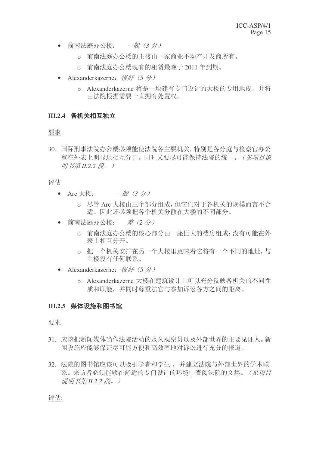- 前南法庭办公楼: 一般 (3分)
	- o 前南法庭办公楼的主楼由一家商业不动产开发商所有。
	- 前南法庭办公楼现有的租赁最晚于 2011 年到期。
- Alexanderkazerne: 很好 (5分)
	- o Alexanderkazerne 将是一块建有专门设计的大楼的专用地皮, 并将 由法院根据需要一直拥有处置权。

#### **III.2.4 各机关相互独立**

#### 要求

30. 国际刑事法院办公楼必须能使法院各主要机关, 特别是各分庭与检察官办公 室在外表上明显地相互分开。同时又要尽可能保持法院的统一。(见项目说 明书第II.2.2 段。)

#### 评估

- Arc 大楼: 一*般 (3 分)* 
	- o 尽管 Arc 大楼由三个部分组成, 但它们对于各机关的规模而言不合 话。因此还必须把各个机关分散在大楼的不同部分。
- 前南法庭办公楼: *差 (2 分)* 
	- 前南法庭办公楼的核心部分由一座巨大的楼房组成: 没有可能在外 表上相互分开。
	- o 把一个机关安排在另一个大楼里意味着它将有一个不同的地址,与 主楼没有任何联系。
- Alexanderkazerne: 很好 (5 分)
	- o Alexanderkazerne 大楼在建筑设计上可以充分反映各机关的不同性 质和职能,并同时尊重法官与参加诉讼各方之间的距离。

#### **III.2.5 媒体设施和图书馆**

#### 要求

- 31. 应该把新闻媒体当作法院活动的永久观察员以及外部世界的主要见证人。新 闻设施应能够保证尽可能方便和高效率地对诉讼讲行充分的报道。
- 32. 法院的图书馆应该可以吸引学者和学生, 并建立法院与外部世界的学术联 系。来访者必须能够在舒适的专门设计的环境中杳阅法院的文集。(见项目 说明书第II.2.2 段。)

评估: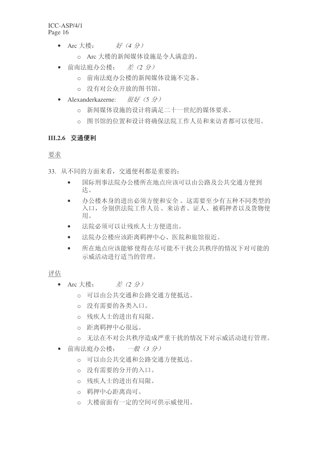- Arc 大楼: # (4 分)
	- o Arc 大楼的新闻媒体设施是令人满意的。
- 前南法庭办公楼: *差 (2分)* 
	- o 前南法庭办公楼的新闻媒体设施不完备。
	- o 没有对公众开放的图书馆。
- Alexanderkazerne: 很好(5分)
	- o 新闻媒体设施的设计将满足二十一世纪的媒体要求。
	- o 图书馆的位置和设计将确保法院工作人员和来访者都可以使用。

#### **III.2.6 交通便利**

#### 要求

- 33. 从不同的方面来看, 交通便利都是重要的:
	- 国际刑事法院办公楼所在地点应该可以由公路及公共交通方便到 达。
	- 办公楼本身的进出必须方便和安全。这需要至少有五种不同类型的 入口, 分别供法院工作人员、来访者、证人、被羁押者以及货物使 用。
	- 法院必须可以让残疾人士方便讲出。
	- 法院办公楼应该距离羁押中心、医院和旅馆很近。
	- 所在地点应该能够使得在尽可能不干扰公共秩序的情况下对可能的 示威活动讲行适当的管理。

- Arc 大楼:  $\qquad \not\equiv (2 \nleftrightarrow)$ 
	- o 可以由公共交通和公路交通方便抵达。
	- o 没有需要的各类入口。
	- o 残疾人士的讲出有局限。
	- o 距离羁押中心很远。
	- o 无法在不对公共秩序造成严重于扰的情况下对示威活动讲行管理。
- 前南法庭办公楼: 一般 (3分)
	- o 可以由公共交通和公路交通方便抵达。
	- o 没有需要的分开的入口。
	- o 残疾人士的进出有局限。
	- o 羁押中心距离尚可。
	- o 大楼前面有一定的空间可供示威使用。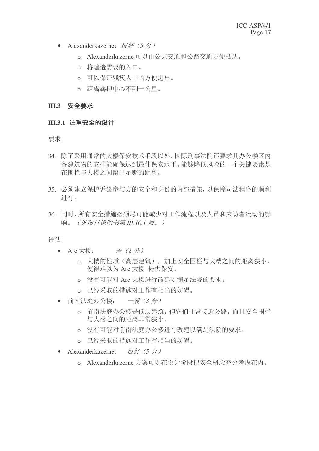- Alexanderkazerne: 很好 (5分)
	- o Alexanderkazerne 可以由公共交通和公路交通方便抵达。
	- o 将建造需要的入口。
	- o 可以保证残疾人士的方便进出。
	- o 距离羁押中心不到一公里。

#### **III.3 安全要求**

#### **III.3.1 注重安全的设计**

#### 要求

- 34. 除了采用通常的大楼保安技术手段以外,国际刑事法院还要求其办公楼区内 各建筑物的安排能确保达到最佳保安水平。能够降低风险的一个关键要素是 在围栏与大楼之间留出足够的距离。
- 35. 必须建立保护诉讼参与方的安全和身份的内部措施,以保障司法程序的顺利 进行。
- 36. 同时, 所有安全措施必须尽可能减少对工作流程以及人员和来访者流动的影 响。(见项目说明书第III.10.1 段。)

- Arc 大楼:  ${\dot \Xi}$  (2 分)
	- o 大楼的性质(高层建筑), 加上安全围栏与大楼之间的距离狭小, 使得难以为 Arc 大楼 提供保安。
	- o 没有可能对 Arc 大楼进行改建以满足法院的要求。
	- o 已经采取的措施对工作有相当的妨碍。
- 前南法庭办公楼: 一般(3分)
	- 前南法庭办公楼是低层建筑,但它们非常接近公路,而且安全围栏 与大楼之间的距离非常狭小。
	- 没有可能对前南法庭办公楼进行改建以满足法院的要求。
	- o 已经采取的措施对工作有相当的妨碍。
- Alexanderkazerne: 很好(5分)
	- o Alexanderkazerne 方案可以在设计阶段把安全概念充分考虑在内。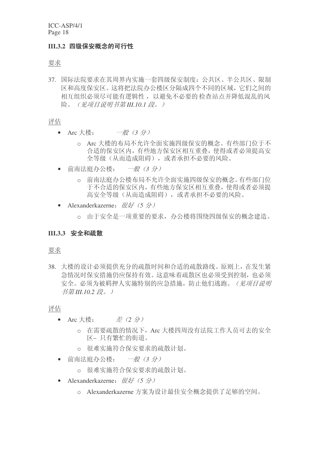#### **III.3.2 四级保安概念的可行性**

#### 要求

37. 国际法院要求在其周界内实施一套四级保安制度: 公共区、半公共区、限制 区和高度保安区。这将把法院办公楼区分隔成四个不同的区域,它们之间的 相互组织必须尽可能有逻辑性, 以避免不必要的检查站点并降低混乱的风 险。(见项目说明书第III.10.1 段。)

#### 评估

- Arc 大楼: 一*般 (3 分)* 
	- o Arc 大楼的布局不允许全面实施四级保安的概念。有些部门位于不 合适的保安区内,有些地方保安区相互重叠,使得或者必须提高安 全等级(从而造成阻碍), 或者承担不必要的风险。
- 前南法庭办公楼: 一般 (3 分)
	- o 前南法庭办公楼布局不允许全面实施四级保安的概念。有些部门位 于不合适的保安区内, 有些地方保安区相互重叠, 使得或者必须提 高安全等级(从而造成阻碍),或者承担不必要的风险。
- Alexanderkazerne: 很好 (5 分)
	- 由于安全是一项重要的要求, 办公楼将围绕四级保安的概念建造。

#### **III.3.3 安全和疏散**

要求

38. 大楼的设计必须提供充分的疏散时间和合适的疏散路线。原则上, 在发生紧 急情况时保安措施仍应保持有效。这意味着疏散区也必须受到控制,也必须 安全。必须为被羁押人实施特别的应急措施,防止他们逃跑。(见项目说明 书第III.10.2 段。)

- Arc 大楼:  ${\vec{z}}$  (2 分)
	- o 在需要疏散的情况下, Arc 大楼四周没有法院工作人员可去的安全 区– 只有繁忙的街道。
	- o 很难实施符合保安要求的疏散计划。
- 前南法庭办公楼: 一般 (3 分)
	- o 很难实施符合保安要求的疏散计划。
- Alexanderkazerne: 很好 (5分)
	- o Alexanderkazerne 方案为设计最佳安全概念提供了足够的空间。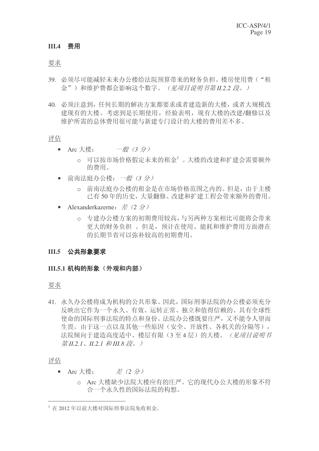#### **III.4 费用**

#### 要求

- 39. 必须尽可能减轻未来办公楼给法院预算带来的财务负担。楼房使用费("和 金")和维护费都会影响这个数字。(见项目说明书第Ⅱ.2.2 段。)
- 40. 必须注意到, 任何长期的解决方案都要求或者建造新的大楼, 或者大规模改 建现有的大楼。考虑到是长期使用, 经验表明, 现有大楼的改建/翻修以及 维护所需的总体费用很可能与新建专门设计的大楼的费用差不多。

#### 评估

- Arc 大楼: 一般 (3 分)
	- o 可以按市场价格假定未来的租金1 。大楼的改建和扩建会需要额外 的费用。
- 前南法庭办公楼: 一般 (3分)
	- 前南法庭办公楼的租金是在市场价格范围之内的。但是,由于主楼 已有50年的历史,大量翻修、改建和扩建工程会带来额外的费用。
- Alexanderkazerne:  $\ddot{\tilde{\pi}}$  (2  $\dot{\pi}$ )
	- o 专建办公楼方案的初期费用较高,与另两种方案相比可能将会带来 更大的财务负担。但是, 预计在使用、能耗和维护费用方面潜在 的长期节省可以弥补较高的初期费用。

#### **III.5** ݀݅ᔶ䈵㽕∖

#### **III.5.1 机构的形象(外观和内部)**

#### 要求

41. 永久办公楼将成为机构的公共形象。因此,国际刑事法院的办公楼必须充分 反映出它作为一个永久、有效、运转正常、独立和值得信赖的、具有全球性 使命的国际刑事法院的特点和身份。法院办公楼既要庄严,又不能令人望而 生畏。由于这一点以及其他一些原因(安全、开放性、各机关的分隔等), 法院倾向于建造高度适中、楼层有限(3至4层)的大楼。(见项目说明书 第II.2.1、II.2.1 和III.8 段。)

- Arc 大楼:  $\neq$  (2 分)
	- o Arc 大楼缺少法院大楼应有的庄严。它的现代办公大楼的形象不符 合一个永久性的国际法院的构想。

 $^{-1}$  在 2012 年以前大楼对国际刑事法院免收租金。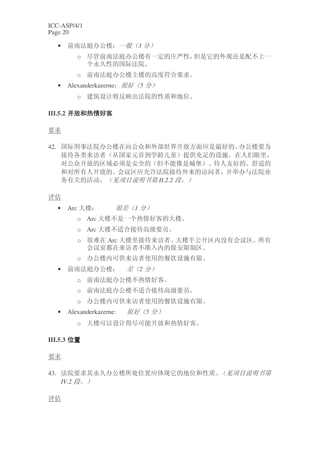- 前南法庭办公楼: 一般 (3分)
	- 尽管前南法庭办公楼有一定的庄严性, 但是它的外观还是配不上一 个永久性的国际法院。
	- o 前南法庭办公楼主楼的高度符合要求。
- Alexanderkazerne: 很好(5分)
	- o 建筑设计将反映出法院的性质和地位。

#### **III.5.2 开放和热情好客**

#### 要求

42. 国际刑事法院办公楼在向公众和外部世界开放方面应是最好的。办公楼要为 接待各类来访者(从国家元首到学龄儿童)提供充足的设施。在人们眼里, 对公众开放的区域必须是安全的(但不能像是城堡)、待人友好的、舒适的 和对所有人开放的。会议区应允许法院接待外来的访问者,并举办与法院业 各有关的活动。(见项目说明书第Ⅱ22段。)

#### 评估

- Arc ὐ˖ ᕜᏂ˄*1* ߚ˅
	- o Arc 大楼不是一个热情好客的大楼。
	- o Arc 大楼不适合接待高级要员。
	- o 很难在 Arc 大楼里接待来访者。大楼半公开区内没有会议区。所有 会议室都在来访者不准入内的保安限制区。
	- o 办公楼内可供来访者使用的餐饮设施有限。
- 前南法庭办公楼: *差 (2 分)* 
	- o 前南法庭办公楼不热情好客。
	- o 前南法庭办公楼不适合接待高级要员。
	- o 办公楼内可供来访者使用的餐饮设施有限。
- Alexanderkazerne: 很好(5分)
	- o 大楼可以设计得尽可能开放和热情好客。

#### **III.5.3** 位置

要求

43. 法院要求其永久办公楼所处位置应体现它的地位和性质。(见项目说明书第  $IV.2 \&$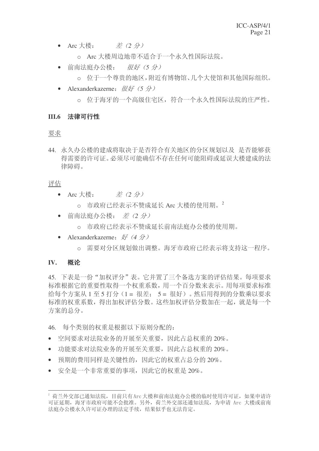- Arc 大楼:  ${\dot \Xi}$  (2 分)
	- o Arc 大楼周边地带不适合于一个永久性国际法院。
- 前南法庭办公楼: 很好(5分)
	- o 位于一个尊贵的地区,附近有博物馆、几个大使馆和其他国际组织。
- Alexanderkazerne: 很好 (5 分)
	- o 位于海牙的一个高级住宅区, 符合一个永久性国际法院的庄严性。

#### **III.6 法律可行性**

#### 要求

44. 永久办公楼的建成将取决于是否符合有关地区的分区规划以及 是否能够获 得需要的许可证。必须尽可能确信不存在任何可能阻碍或延误大楼建成的法 律障碍。

#### 评估

- Arc 大楼:  $\neq$  (2 分)
	- o 市政府已经表示不赞成延长 Arc 大楼的使用期。<sup>2</sup>
- 前南法庭办公楼: 差 (2 分)
	- o 市政府已经表示不赞成延长前南法庭办公楼的使用期。
- Alexanderkazerne: 好 (4分)
	- o 需要对分区规划做出调整。海牙市政府已经表示将支持这一程序。

#### **IV.** 概论

45. 下表是一份"加权评分"表。它并置了三个备选方案的评估结果。每项要求 标准根据它的重要性取得一个权重系数,用一个百分数来表示。用每项要求标准 给每个方案从 1 至 5 打分 (1 = 很差; 5 = 很好)。然后用得到的分数乘以要求 标准的权重系数, 得出加权评估分数。这些加权评估分数加在一起, 就是每一个 方案的总分。

- 46. 每个类别的权重是根据以下原则分配的:
- 空间要求对法院业务的开展至关重要, 因此占总权重的 20%。
- 功能要求对法院业务的开展至关重要, 因此占总权重的 20%。
- 预期的费用同样是关键性的,因此它的权重占总分的20%。
- 安全是一个非常重要的事项,因此它的权重是20%。

<sup>&</sup>lt;sup>2</sup> 荷兰外交部已通知法院, 目前只有Arc 大楼和前南法庭办公楼的临时使用许可证, 如果申请许 可证延期, 海牙市政府可能不会批准。另外, 荷兰外交部还通知法院, 为申请 Arc 大楼或前南 法庭办公楼永久许可证办理的法定手续,结果似乎也无法肯定。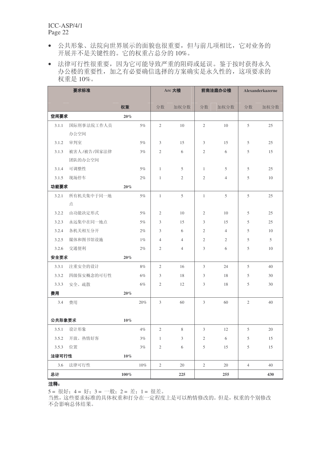- 公共形象、法院向世界展示的面貌也很重要,但与前几项相比,它对业务的 开展并不是关键性的。它的权重占总分的10%。
- 法律可行性很重要, 因为它可能导致严重的阻碍或延误。鉴于按时获得永久 办公楼的重要性, 加之有必要确信选择的方案确实是永久性的, 这项要求的 权重是 10%。

| 要求标准             |             | Arc 大楼    |                | 前南法庭办公楼        |                | Alexanderkazerne |                |        |
|------------------|-------------|-----------|----------------|----------------|----------------|------------------|----------------|--------|
|                  |             | 权重        | 分数             | 加权分数           | 分数             | 加权分数             | 分数             | 加权分数   |
| 空间要求             |             | 20%       |                |                |                |                  |                |        |
| 3.1.1            | 国际刑事法院工作人员  | 5%        | $\overline{2}$ | 10             | $\overline{2}$ | 10               | 5              | 25     |
|                  | 办公空间        |           |                |                |                |                  |                |        |
| 3.1.2            | 审判室         | 5%        | 3              | 15             | 3              | 15               | 5              | 25     |
| 3.1.3            | 被害人/被告/国家法律 | 3%        | $\overline{2}$ | 6              | 2              | 6                | 5              | 15     |
|                  | 团队的办公空间     |           |                |                |                |                  |                |        |
| 3.1.4            | 可调整性        | $5\%$     | $\mathbf{1}$   | 5              | $\mathbf{1}$   | 5                | 5              | 25     |
| 3.1.5            | 现场停车        | $2\%$     | $\mathbf{1}$   | $\overline{2}$ | $\overline{2}$ | $\overline{4}$   | 5              | 10     |
| 功能要求<br>20%      |             |           |                |                |                |                  |                |        |
| 3.2.1            | 所有机关集中于同一地  | 5%        | $\mathbf{1}$   | 5              | $\mathbf{1}$   | 5                | 5              | 25     |
|                  | 点           |           |                |                |                |                  |                |        |
| 3.2.2            | 由功能决定形式     | 5%        | 2              | 10             | $\overline{2}$ | 10               | 5              | 25     |
| 3.2.3            | 永远集中在同一地点   | 5%        | 3              | 15             | 3              | 15               | 5              | 25     |
| 3.2.4            | 各机关相互分开     | $2\%$     | 3              | 6              | $\overline{2}$ | $\overline{4}$   | 5              | 10     |
| 3.2.5            | 媒体和图书馆设施    | $1\%$     | $\overline{4}$ | $\overline{4}$ | $\overline{2}$ | $\overline{2}$   | 5              | 5      |
| 3.2.6            | 交通便利        | $2\%$     | $\overline{2}$ | $\overline{4}$ | 3              | 6                | 5              | 10     |
| 安全要求             |             | $20\%$    |                |                |                |                  |                |        |
| 3.3.1            | 注重安全的设计     | 8%        | $\overline{2}$ | 16             | 3              | 24               | 5              | 40     |
| 3.3.2            | 四级保安概念的可行性  | 6%        | 3              | 18             | 3              | 18               | 5              | 30     |
| 3.3.3            | 安全、疏散       | 6%        | 2              | 12             | 3              | 18               | 5              | 30     |
| 费用               |             | $20\%$    |                |                |                |                  |                |        |
| 3.4              | 费用          | 20%       | $\mathfrak{Z}$ | 60             | $\mathfrak{Z}$ | 60               | $\overline{2}$ | 40     |
|                  |             |           |                |                |                |                  |                |        |
| 公共形象要求<br>$10\%$ |             |           |                |                |                |                  |                |        |
| 3.5.1            | 设计形象        | $4\%$     | $\sqrt{2}$     | $\,$ 8 $\,$    | 3              | 12               | 5              | $20\,$ |
| 3.5.2            | 开放、热情好客     | $3\%$     | $\mathbf{1}$   | $\mathfrak{Z}$ | $\mathfrak{2}$ | $\sqrt{6}$       | 5              | 15     |
| 3.5.3            | 位置          | $3\%$     | $\sqrt{2}$     | 6              | $\sqrt{5}$     | 15               | 5              | 15     |
| 法律可行性<br>$10\%$  |             |           |                |                |                |                  |                |        |
| 3.6              | 法律可行性       | $10\%$    | $\mathbf{2}$   | 20             | 2              | 20               | $\overline{4}$ | 40     |
| 总计               |             | $100\,\%$ |                | 225            |                | 255              |                | 430    |

注释:

 $5 = \frac{1}{2}$  = 七 万; 3 = 一般; 2 = 差; 1 = 很差。

当然,这些要求标准的具体权重和打分在一定程度上是可以酌情修改的。但是,权重的个别修改 不会影响总体结果。